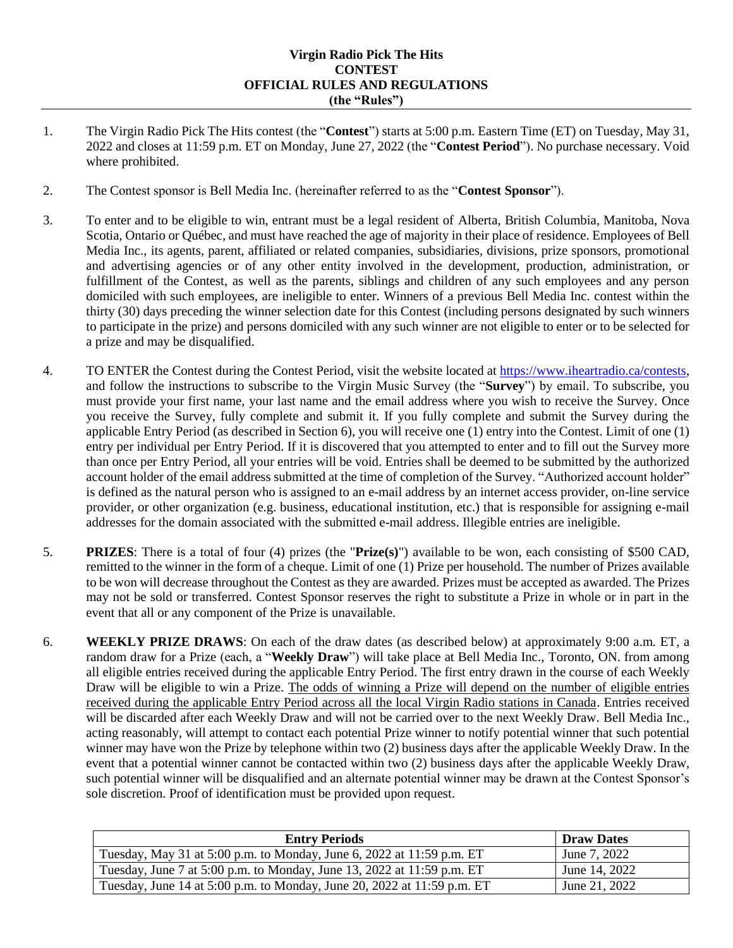## **Virgin Radio Pick The Hits CONTEST OFFICIAL RULES AND REGULATIONS (the "Rules")**

- 1. The Virgin Radio Pick The Hits contest (the "**Contest**") starts at 5:00 p.m. Eastern Time (ET) on Tuesday, May 31, 2022 and closes at 11:59 p.m. ET on Monday, June 27, 2022 (the "**Contest Period**"). No purchase necessary. Void where prohibited.
- 2. The Contest sponsor is Bell Media Inc. (hereinafter referred to as the "**Contest Sponsor**").
- 3. To enter and to be eligible to win, entrant must be a legal resident of Alberta, British Columbia, Manitoba, Nova Scotia, Ontario or Québec, and must have reached the age of majority in their place of residence. Employees of Bell Media Inc., its agents, parent, affiliated or related companies, subsidiaries, divisions, prize sponsors, promotional and advertising agencies or of any other entity involved in the development, production, administration, or fulfillment of the Contest, as well as the parents, siblings and children of any such employees and any person domiciled with such employees, are ineligible to enter. Winners of a previous Bell Media Inc. contest within the thirty (30) days preceding the winner selection date for this Contest (including persons designated by such winners to participate in the prize) and persons domiciled with any such winner are not eligible to enter or to be selected for a prize and may be disqualified.
- 4. TO ENTER the Contest during the Contest Period, visit the website located at [https://www.iheartradio.ca/contests,](https://www.iheartradio.ca/contests) and follow the instructions to subscribe to the Virgin Music Survey (the "**Survey**") by email. To subscribe, you must provide your first name, your last name and the email address where you wish to receive the Survey. Once you receive the Survey, fully complete and submit it. If you fully complete and submit the Survey during the applicable Entry Period (as described in Section 6), you will receive one (1) entry into the Contest. Limit of one (1) entry per individual per Entry Period. If it is discovered that you attempted to enter and to fill out the Survey more than once per Entry Period, all your entries will be void. Entries shall be deemed to be submitted by the authorized account holder of the email address submitted at the time of completion of the Survey. "Authorized account holder" is defined as the natural person who is assigned to an e-mail address by an internet access provider, on-line service provider, or other organization (e.g. business, educational institution, etc.) that is responsible for assigning e-mail addresses for the domain associated with the submitted e-mail address. Illegible entries are ineligible.
- 5. **PRIZES**: There is a total of four (4) prizes (the "**Prize(s)**") available to be won, each consisting of \$500 CAD, remitted to the winner in the form of a cheque. Limit of one (1) Prize per household. The number of Prizes available to be won will decrease throughout the Contest as they are awarded. Prizes must be accepted as awarded. The Prizes may not be sold or transferred. Contest Sponsor reserves the right to substitute a Prize in whole or in part in the event that all or any component of the Prize is unavailable.
- 6. **WEEKLY PRIZE DRAWS**: On each of the draw dates (as described below) at approximately 9:00 a.m. ET, a random draw for a Prize (each, a "**Weekly Draw**") will take place at Bell Media Inc., Toronto, ON. from among all eligible entries received during the applicable Entry Period. The first entry drawn in the course of each Weekly Draw will be eligible to win a Prize. The odds of winning a Prize will depend on the number of eligible entries received during the applicable Entry Period across all the local Virgin Radio stations in Canada. Entries received will be discarded after each Weekly Draw and will not be carried over to the next Weekly Draw. Bell Media Inc., acting reasonably, will attempt to contact each potential Prize winner to notify potential winner that such potential winner may have won the Prize by telephone within two (2) business days after the applicable Weekly Draw. In the event that a potential winner cannot be contacted within two (2) business days after the applicable Weekly Draw, such potential winner will be disqualified and an alternate potential winner may be drawn at the Contest Sponsor's sole discretion. Proof of identification must be provided upon request.

| <b>Entry Periods</b>                                                    | <b>Draw Dates</b> |
|-------------------------------------------------------------------------|-------------------|
| Tuesday, May 31 at 5:00 p.m. to Monday, June 6, 2022 at 11:59 p.m. ET   | June 7, 2022      |
| Tuesday, June 7 at 5:00 p.m. to Monday, June 13, 2022 at 11:59 p.m. ET  | June 14, 2022     |
| Tuesday, June 14 at 5:00 p.m. to Monday, June 20, 2022 at 11:59 p.m. ET | June 21, 2022     |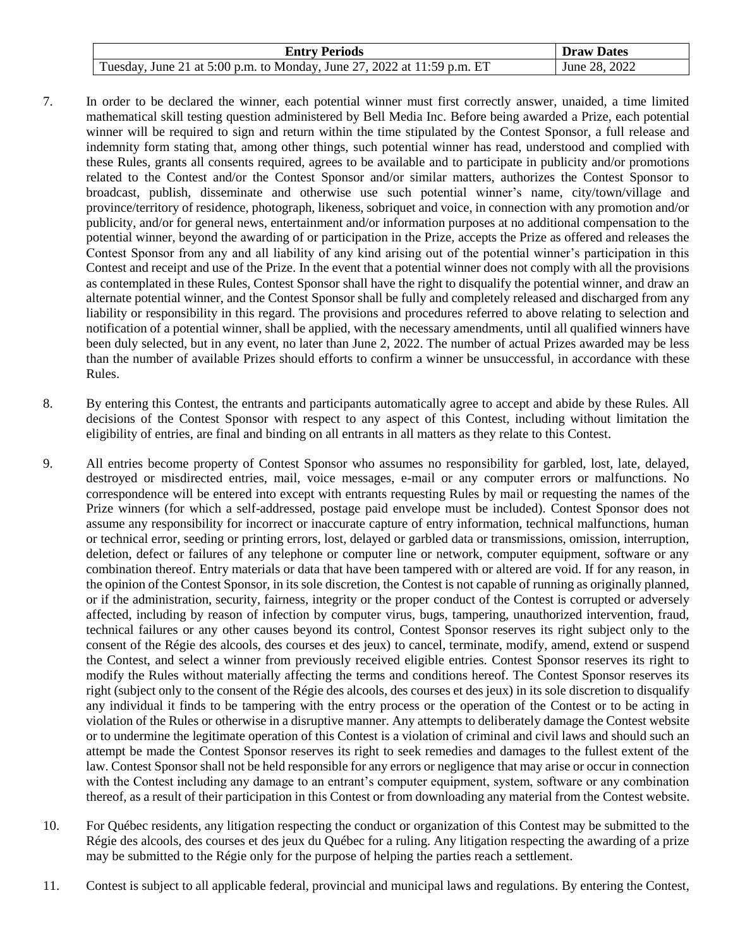| <b>Entry Periods</b>                                                    | <b>Draw Dates</b> |
|-------------------------------------------------------------------------|-------------------|
| Tuesday, June 21 at 5:00 p.m. to Monday, June 27, 2022 at 11:59 p.m. ET | June 28, 2022     |

- 7. In order to be declared the winner, each potential winner must first correctly answer, unaided, a time limited mathematical skill testing question administered by Bell Media Inc. Before being awarded a Prize, each potential winner will be required to sign and return within the time stipulated by the Contest Sponsor, a full release and indemnity form stating that, among other things, such potential winner has read, understood and complied with these Rules, grants all consents required, agrees to be available and to participate in publicity and/or promotions related to the Contest and/or the Contest Sponsor and/or similar matters, authorizes the Contest Sponsor to broadcast, publish, disseminate and otherwise use such potential winner's name, city/town/village and province/territory of residence, photograph, likeness, sobriquet and voice, in connection with any promotion and/or publicity, and/or for general news, entertainment and/or information purposes at no additional compensation to the potential winner, beyond the awarding of or participation in the Prize, accepts the Prize as offered and releases the Contest Sponsor from any and all liability of any kind arising out of the potential winner's participation in this Contest and receipt and use of the Prize. In the event that a potential winner does not comply with all the provisions as contemplated in these Rules, Contest Sponsor shall have the right to disqualify the potential winner, and draw an alternate potential winner, and the Contest Sponsor shall be fully and completely released and discharged from any liability or responsibility in this regard. The provisions and procedures referred to above relating to selection and notification of a potential winner, shall be applied, with the necessary amendments, until all qualified winners have been duly selected, but in any event, no later than June 2, 2022. The number of actual Prizes awarded may be less than the number of available Prizes should efforts to confirm a winner be unsuccessful, in accordance with these Rules.
- 8. By entering this Contest, the entrants and participants automatically agree to accept and abide by these Rules. All decisions of the Contest Sponsor with respect to any aspect of this Contest, including without limitation the eligibility of entries, are final and binding on all entrants in all matters as they relate to this Contest.
- 9. All entries become property of Contest Sponsor who assumes no responsibility for garbled, lost, late, delayed, destroyed or misdirected entries, mail, voice messages, e-mail or any computer errors or malfunctions. No correspondence will be entered into except with entrants requesting Rules by mail or requesting the names of the Prize winners (for which a self-addressed, postage paid envelope must be included). Contest Sponsor does not assume any responsibility for incorrect or inaccurate capture of entry information, technical malfunctions, human or technical error, seeding or printing errors, lost, delayed or garbled data or transmissions, omission, interruption, deletion, defect or failures of any telephone or computer line or network, computer equipment, software or any combination thereof. Entry materials or data that have been tampered with or altered are void. If for any reason, in the opinion of the Contest Sponsor, in its sole discretion, the Contest is not capable of running as originally planned, or if the administration, security, fairness, integrity or the proper conduct of the Contest is corrupted or adversely affected, including by reason of infection by computer virus, bugs, tampering, unauthorized intervention, fraud, technical failures or any other causes beyond its control, Contest Sponsor reserves its right subject only to the consent of the Régie des alcools, des courses et des jeux) to cancel, terminate, modify, amend, extend or suspend the Contest, and select a winner from previously received eligible entries. Contest Sponsor reserves its right to modify the Rules without materially affecting the terms and conditions hereof. The Contest Sponsor reserves its right (subject only to the consent of the Régie des alcools, des courses et des jeux) in its sole discretion to disqualify any individual it finds to be tampering with the entry process or the operation of the Contest or to be acting in violation of the Rules or otherwise in a disruptive manner. Any attempts to deliberately damage the Contest website or to undermine the legitimate operation of this Contest is a violation of criminal and civil laws and should such an attempt be made the Contest Sponsor reserves its right to seek remedies and damages to the fullest extent of the law. Contest Sponsor shall not be held responsible for any errors or negligence that may arise or occur in connection with the Contest including any damage to an entrant's computer equipment, system, software or any combination thereof, as a result of their participation in this Contest or from downloading any material from the Contest website.
- 10. For Québec residents, any litigation respecting the conduct or organization of this Contest may be submitted to the Régie des alcools, des courses et des jeux du Québec for a ruling. Any litigation respecting the awarding of a prize may be submitted to the Régie only for the purpose of helping the parties reach a settlement.
- 11. Contest is subject to all applicable federal, provincial and municipal laws and regulations. By entering the Contest,